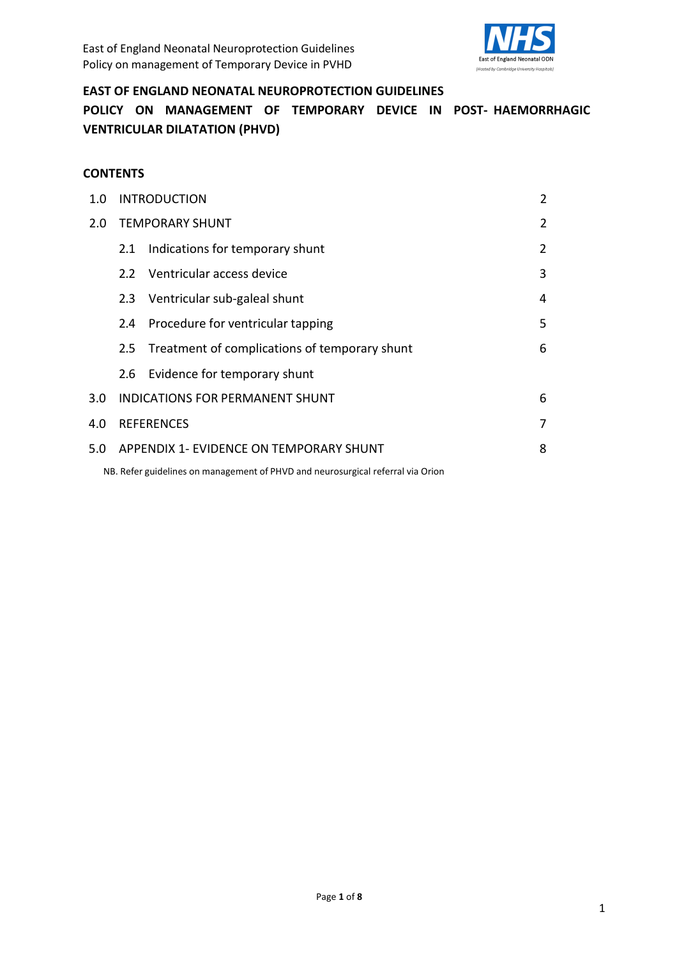

### **EAST OF ENGLAND NEONATAL NEUROPROTECTION GUIDELINES**

**POLICY ON MANAGEMENT OF TEMPORARY DEVICE IN POST- HAEMORRHAGIC VENTRICULAR DILATATION (PHVD)**

#### **CONTENTS**

| 1.0 | <b>INTRODUCTION</b>                              |                                                                                 |                |
|-----|--------------------------------------------------|---------------------------------------------------------------------------------|----------------|
| 2.0 | <b>TEMPORARY SHUNT</b>                           | 2                                                                               |                |
|     | 2.1                                              | Indications for temporary shunt                                                 | $\overline{2}$ |
|     | 2.2                                              | Ventricular access device                                                       | 3              |
|     |                                                  | 2.3 Ventricular sub-galeal shunt                                                | 4              |
|     | $2.4^{\circ}$                                    | Procedure for ventricular tapping                                               | 5              |
|     | 2.5                                              | Treatment of complications of temporary shunt                                   | 6              |
|     |                                                  | 2.6 Evidence for temporary shunt                                                |                |
| 3.0 | <b>INDICATIONS FOR PERMANENT SHUNT</b>           |                                                                                 | 6              |
| 4.0 | <b>REFERENCES</b><br>7                           |                                                                                 |                |
|     | 5.0 APPENDIX 1- EVIDENCE ON TEMPORARY SHUNT<br>8 |                                                                                 |                |
|     |                                                  | NB. Refer guidelines on management of PHVD and neurosurgical referral via Orion |                |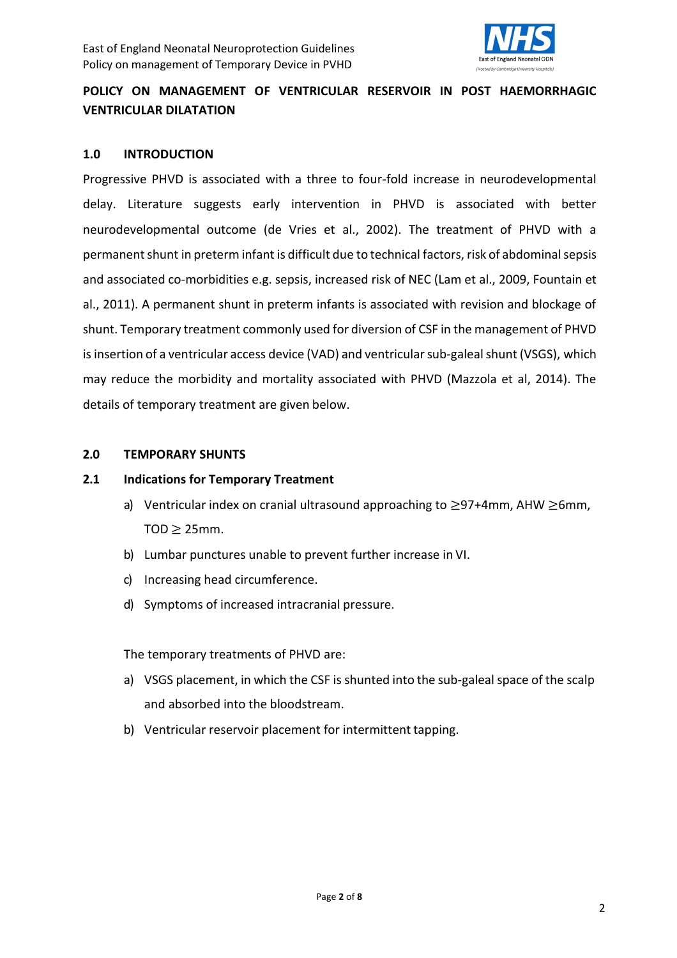

# **POLICY ON MANAGEMENT OF VENTRICULAR RESERVOIR IN POST HAEMORRHAGIC VENTRICULAR DILATATION**

#### **1.0 INTRODUCTION**

Progressive PHVD is associated with a three to four-fold increase in neurodevelopmental delay. Literature suggests early intervention in PHVD is associated with better neurodevelopmental outcome (de Vries et al., 2002). The treatment of PHVD with a permanent shunt in preterm infant is difficult due to technical factors, risk of abdominal sepsis and associated co-morbidities e.g. sepsis, increased risk of NEC (Lam et al., 2009, Fountain et al., 2011). A permanent shunt in preterm infants is associated with revision and blockage of shunt. Temporary treatment commonly used for diversion of CSF in the management of PHVD is insertion of a ventricular access device (VAD) and ventricular sub-galeal shunt (VSGS), which may reduce the morbidity and mortality associated with PHVD (Mazzola et al, 2014). The details of temporary treatment are given below.

#### **2.0 TEMPORARY SHUNTS**

#### **2.1 Indications for Temporary Treatment**

- a) Ventricular index on cranial ultrasound approaching to ≥97+4mm, AHW ≥6mm,  $TOD \geq 25$ mm.
- b) Lumbar punctures unable to prevent further increase in VI.
- c) Increasing head circumference.
- d) Symptoms of increased intracranial pressure.

The temporary treatments of PHVD are:

- a) VSGS placement, in which the CSF is shunted into the sub-galealspace of the scalp and absorbed into the bloodstream.
- b) Ventricular reservoir placement for intermittent tapping.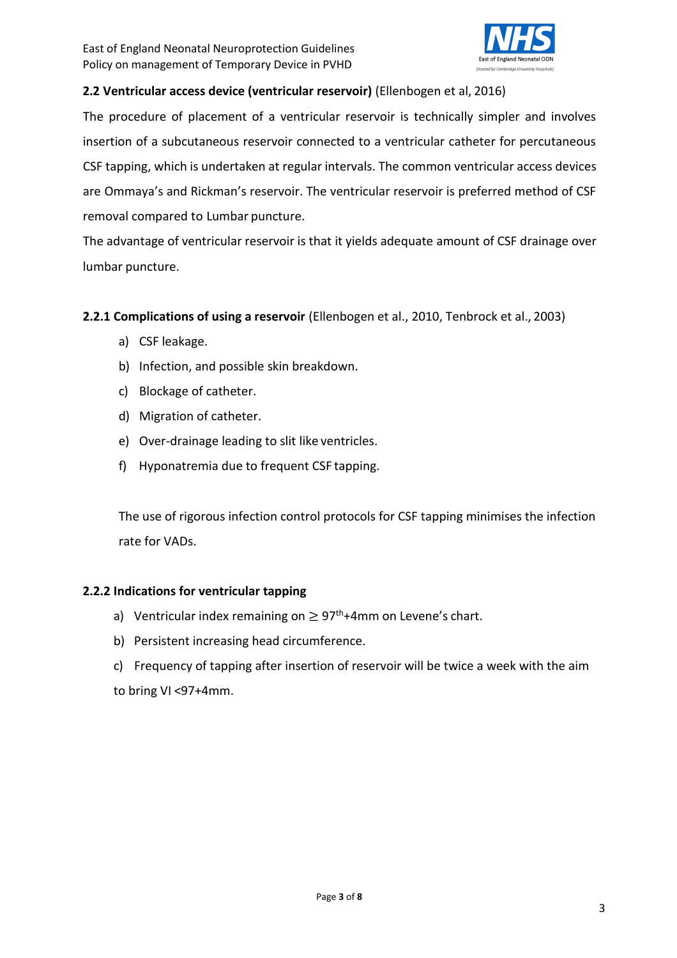

# **2.2 Ventricular access device (ventricular reservoir)** (Ellenbogen et al, 2016)

The procedure of placement of a ventricular reservoir is technically simpler and involves insertion of a subcutaneous reservoir connected to a ventricular catheter for percutaneous CSF tapping, which is undertaken at regular intervals. The common ventricular access devices are Ommaya's and Rickman's reservoir. The ventricular reservoir is preferred method of CSF removal compared to Lumbar puncture.

The advantage of ventricular reservoir is that it yields adequate amount of CSF drainage over lumbar puncture.

# **2.2.1 Complications of using a reservoir** (Ellenbogen et al., 2010, Tenbrock et al., 2003)

- a) CSF leakage.
- b) Infection, and possible skin breakdown.
- c) Blockage of catheter.
- d) Migration of catheter.
- e) Over-drainage leading to slit like ventricles.
- f) Hyponatremia due to frequent CSF tapping.

The use of rigorous infection control protocols for CSF tapping minimises the infection rate for VADs.

# **2.2.2 Indications for ventricular tapping**

- a) Ventricular index remaining on  $\geq 97^{\text{th}}+4$ mm on Levene's chart.
- b) Persistent increasing head circumference.
- c) Frequency of tapping after insertion of reservoir will be twice a week with the aim to bring VI <97+4mm.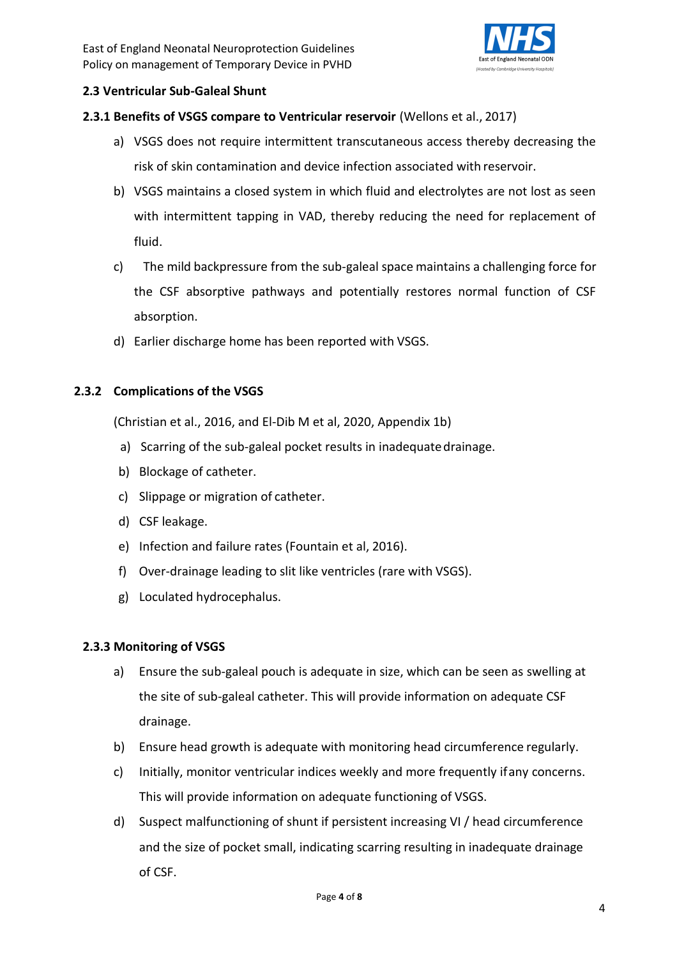

# <span id="page-3-0"></span>**2.3 Ventricular Sub-Galeal Shunt**

# **2.3.1 Benefits of VSGS compare to Ventricular reservoir** (Wellons et al., 2017)

- a) VSGS does not require intermittent transcutaneous access thereby decreasing the risk of skin contamination and device infection associated with reservoir.
- b) VSGS maintains a closed system in which fluid and electrolytes are not lost as seen with intermittent tapping in VAD, thereby reducing the need for replacement of fluid.
- c) The mild backpressure from the sub-galeal space maintains a challenging force for the CSF absorptive pathways and potentially restores normal function of CSF absorption.
- d) Earlier discharge home has been reported with VSGS.

# **2.3.2 Complications of the VSGS**

(Christian et al., 2016, and El-Dib M et al, 2020, Appendix 1b)

- a) Scarring of the sub-galeal pocket results in inadequatedrainage.
- b) Blockage of catheter.
- c) Slippage or migration of catheter.
- d) CSF leakage.
- e) Infection and failure rates (Fountain et al, 2016).
- f) Over-drainage leading to slit like ventricles (rare with VSGS).
- g) Loculated hydrocephalus.

## **2.3.3 Monitoring of VSGS**

- a) Ensure the sub-galeal pouch is adequate in size, which can be seen as swelling at the site of sub-galeal catheter. This will provide information on adequate CSF drainage.
- b) Ensure head growth is adequate with monitoring head circumference regularly.
- c) Initially, monitor ventricular indices weekly and more frequently ifany concerns. This will provide information on adequate functioning of VSGS.
- d) Suspect malfunctioning of shunt if persistent increasing VI / head circumference and the size of pocket small, indicating scarring resulting in inadequate drainage of CSF.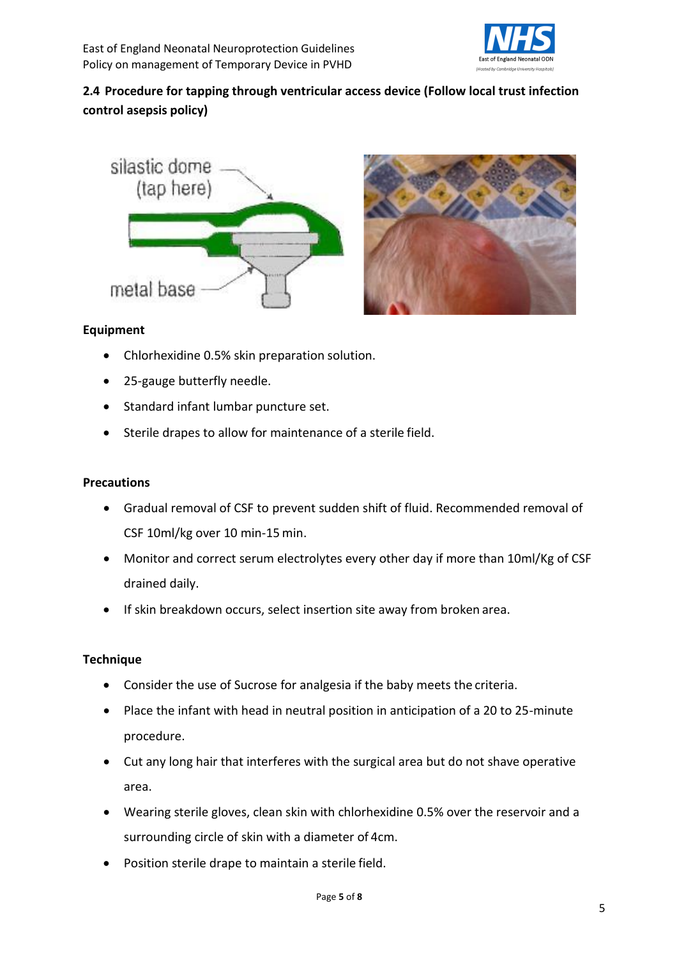

# **2.4 Procedure for tapping through ventricular access device (Follow local trust infection control asepsis policy)**





## **Equipment**

- Chlorhexidine 0.5% skin preparation solution.
- 25-gauge butterfly needle.
- Standard infant lumbar puncture set.
- Sterile drapes to allow for maintenance of a sterile field.

### **Precautions**

- Gradual removal of CSF to prevent sudden shift of fluid. Recommended removal of CSF 10ml/kg over 10 min-15 min.
- Monitor and correct serum electrolytes every other day if more than 10ml/Kg of CSF drained daily.
- If skin breakdown occurs, select insertion site away from broken area.

#### **Technique**

- Consider the use of Sucrose for analgesia if the baby meets the criteria.
- Place the infant with head in neutral position in anticipation of a 20 to 25-minute procedure.
- Cut any long hair that interferes with the surgical area but do not shave operative area.
- Wearing sterile gloves, clean skin with chlorhexidine 0.5% over the reservoir and a surrounding circle of skin with a diameter of 4cm.
- Position sterile drape to maintain a sterile field.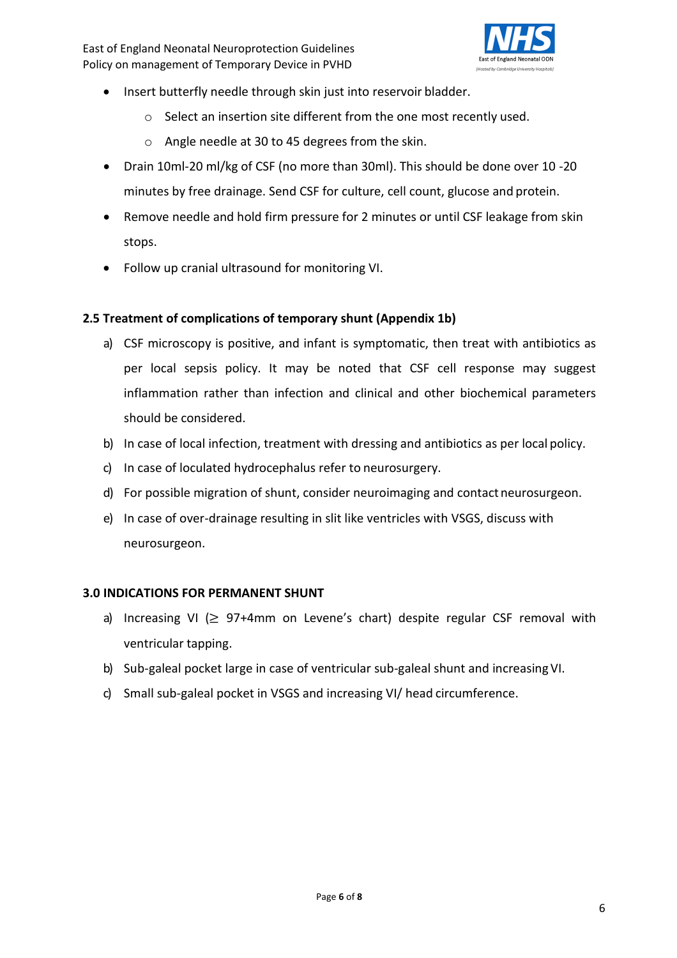East of England Neonatal Neuroprotection Guidelines Policy on management of Temporary Device in PVHD



- Insert butterfly needle through skin just into reservoir bladder.
	- o Select an insertion site different from the one most recently used.
	- o Angle needle at 30 to 45 degrees from the skin.
- Drain 10ml-20 ml/kg of CSF (no more than 30ml). This should be done over 10 -20 minutes by free drainage. Send CSF for culture, cell count, glucose and protein.
- Remove needle and hold firm pressure for 2 minutes or until CSF leakage from skin stops.
- Follow up cranial ultrasound for monitoring VI.

## <span id="page-5-0"></span>**2.5 Treatment of complications of temporary shunt (Appendix 1b)**

- a) CSF microscopy is positive, and infant is symptomatic, then treat with antibiotics as per local sepsis policy. It may be noted that CSF cell response may suggest inflammation rather than infection and clinical and other biochemical parameters should be considered.
- b) In case of local infection, treatment with dressing and antibiotics as per local policy.
- c) In case of loculated hydrocephalus refer to neurosurgery.
- d) For possible migration of shunt, consider neuroimaging and contact neurosurgeon.
- e) In case of over-drainage resulting in slit like ventricles with VSGS, discuss with neurosurgeon.

## <span id="page-5-1"></span>**3.0 INDICATIONS FOR PERMANENT SHUNT**

- a) Increasing VI ( $\geq$  97+4mm on Levene's chart) despite regular CSF removal with ventricular tapping.
- b) Sub-galeal pocket large in case of ventricular sub-galeal shunt and increasing VI.
- c) Small sub-galeal pocket in VSGS and increasing VI/ head circumference.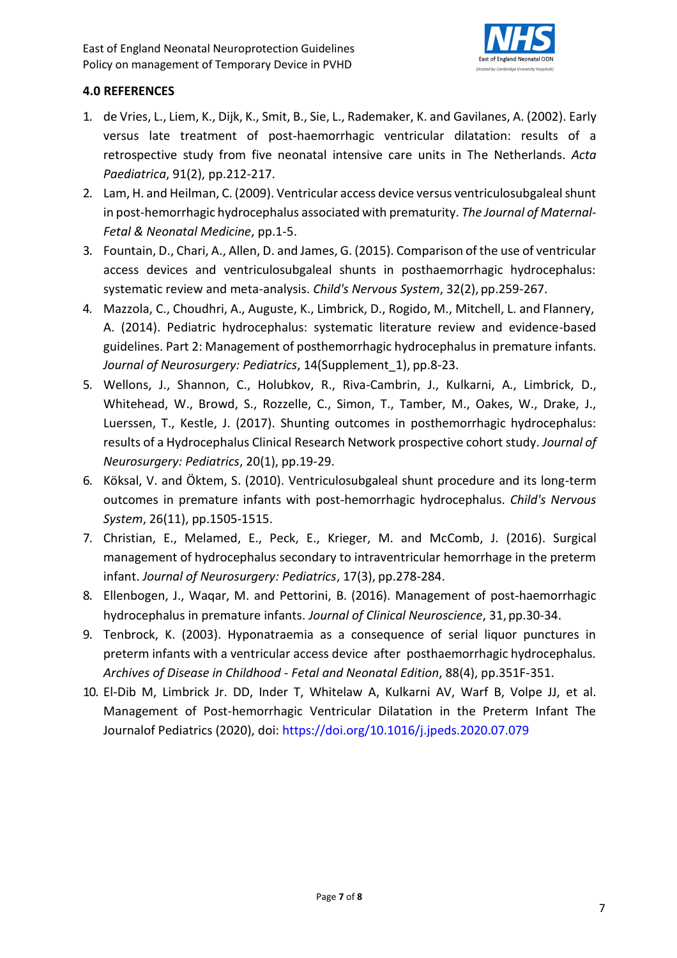

# <span id="page-6-0"></span>**4.0 REFERENCES**

- 1. de Vries, L., Liem, K., Dijk, K., Smit, B., Sie, L., Rademaker, K. and Gavilanes, A. (2002). Early versus late treatment of post-haemorrhagic ventricular dilatation: results of a retrospective study from five neonatal intensive care units in The Netherlands. *Acta Paediatrica*, 91(2), pp.212-217.
- 2. Lam, H. and Heilman, C. (2009). Ventricular access device versus ventriculosubgaleal shunt in post-hemorrhagic hydrocephalus associated with prematurity. *The Journal of Maternal-Fetal & Neonatal Medicine*, pp.1-5.
- 3. Fountain, D., Chari, A., Allen, D. and James, G. (2015). Comparison of the use of ventricular access devices and ventriculosubgaleal shunts in posthaemorrhagic hydrocephalus: systematic review and meta-analysis. *Child's Nervous System*, 32(2), pp.259-267.
- 4. Mazzola, C., Choudhri, A., Auguste, K., Limbrick, D., Rogido, M., Mitchell, L. and Flannery, A. (2014). Pediatric hydrocephalus: systematic literature review and evidence-based guidelines. Part 2: Management of posthemorrhagic hydrocephalus in premature infants. *Journal of Neurosurgery: Pediatrics*, 14(Supplement\_1), pp.8-23.
- 5. Wellons, J., Shannon, C., Holubkov, R., Riva-Cambrin, J., Kulkarni, A., Limbrick, D., Whitehead, W., Browd, S., Rozzelle, C., Simon, T., Tamber, M., Oakes, W., Drake, J., Luerssen, T., Kestle, J. (2017). Shunting outcomes in posthemorrhagic hydrocephalus: results of a Hydrocephalus Clinical Research Network prospective cohort study. *Journal of Neurosurgery: Pediatrics*, 20(1), pp.19-29.
- 6. Köksal, V. and Öktem, S. (2010). Ventriculosubgaleal shunt procedure and its long-term outcomes in premature infants with post-hemorrhagic hydrocephalus. *Child's Nervous System*, 26(11), pp.1505-1515.
- 7. Christian, E., Melamed, E., Peck, E., Krieger, M. and McComb, J. (2016). Surgical management of hydrocephalus secondary to intraventricular hemorrhage in the preterm infant. *Journal of Neurosurgery: Pediatrics*, 17(3), pp.278-284.
- 8. Ellenbogen, J., Waqar, M. and Pettorini, B. (2016). Management of post-haemorrhagic hydrocephalus in premature infants. *Journal of Clinical Neuroscience*, 31, pp.30-34.
- 9. Tenbrock, K. (2003). Hyponatraemia as a consequence of serial liquor punctures in preterm infants with a ventricular access device after posthaemorrhagic hydrocephalus. *Archives of Disease in Childhood - Fetal and Neonatal Edition*, 88(4), pp.351F-351.
- 10. El-Dib M, Limbrick Jr. DD, Inder T, Whitelaw A, Kulkarni AV, Warf B, Volpe JJ, et al. Management of Post-hemorrhagic Ventricular Dilatation in the Preterm Infant The Journalof Pediatrics (2020), doi: https://doi.org/10.1016/j.jpeds.2020.07.079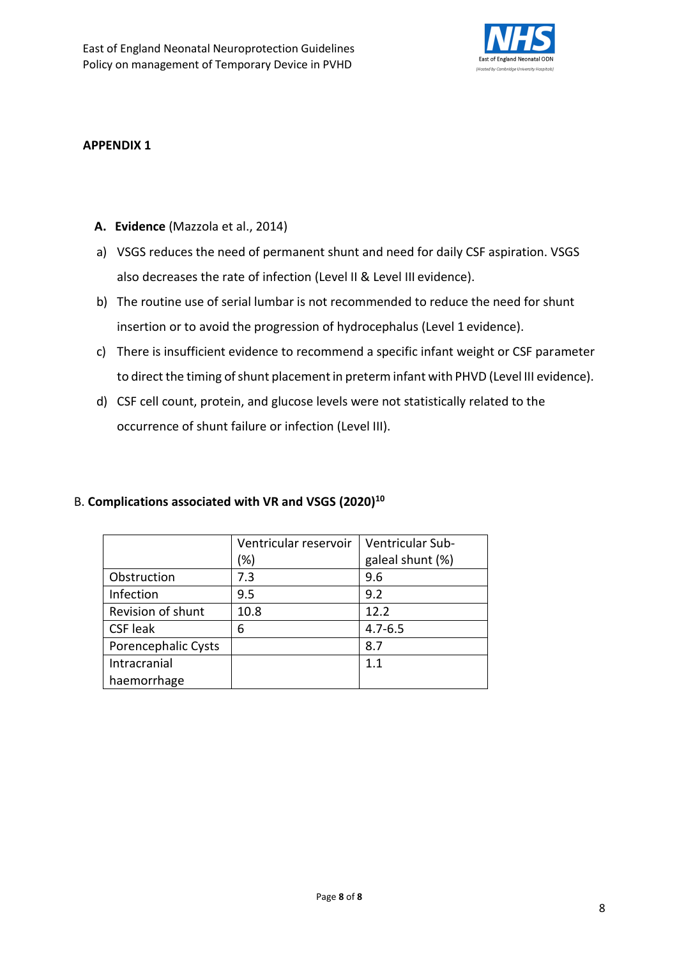

#### **APPENDIX 1**

### **A. Evidence** (Mazzola et al., 2014)

- a) VSGS reduces the need of permanent shunt and need for daily CSF aspiration. VSGS also decreases the rate of infection (Level II & Level III evidence).
- b) The routine use of serial lumbar is not recommended to reduce the need for shunt insertion or to avoid the progression of hydrocephalus (Level 1 evidence).
- c) There is insufficient evidence to recommend a specific infant weight or CSF parameter to direct the timing of shunt placement in preterm infant with PHVD (Level III evidence).
- d) CSF cell count, protein, and glucose levels were not statistically related to the occurrence of shunt failure or infection (Level III).

## B. **Complications associated with VR and VSGS (2020)<sup>10</sup>**

|                     | Ventricular reservoir | Ventricular Sub- |
|---------------------|-----------------------|------------------|
|                     | (%)                   | galeal shunt (%) |
| Obstruction         | 7.3                   | 9.6              |
| Infection           | 9.5                   | 9.2              |
| Revision of shunt   | 10.8                  | 12.2             |
| <b>CSF leak</b>     | 6                     | $4.7 - 6.5$      |
| Porencephalic Cysts |                       | 8.7              |
| Intracranial        |                       | 11               |
| haemorrhage         |                       |                  |